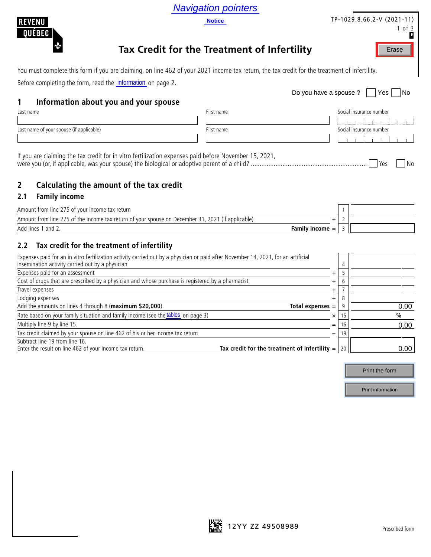|                                                                                                                                                                                        | <b>Navigation pointers</b>                      |                              |                            |
|----------------------------------------------------------------------------------------------------------------------------------------------------------------------------------------|-------------------------------------------------|------------------------------|----------------------------|
| <b>REVENU</b>                                                                                                                                                                          | <b>Notice</b>                                   |                              | TP-1029.8.66.2-V (2021-11) |
| QUÉBEC                                                                                                                                                                                 |                                                 |                              | 1 of 3<br>E                |
|                                                                                                                                                                                        | Tax Credit for the Treatment of Infertility     |                              | Erase                      |
| You must complete this form if you are claiming, on line 462 of your 2021 income tax return, the tax credit for the treatment of infertility.                                          |                                                 |                              |                            |
| Before completing the form, read the information on page 2.                                                                                                                            |                                                 |                              |                            |
|                                                                                                                                                                                        |                                                 | Do you have a spouse ?       | $ $ $ $ Yes $ $<br>1 No    |
| Information about you and your spouse<br>1                                                                                                                                             |                                                 |                              |                            |
| Last name                                                                                                                                                                              | First name                                      | Social insurance number      |                            |
|                                                                                                                                                                                        |                                                 |                              |                            |
| Last name of your spouse (if applicable)                                                                                                                                               | First name                                      | Social insurance number      |                            |
|                                                                                                                                                                                        |                                                 |                              |                            |
| Calculating the amount of the tax credit<br>$\mathbf{2}$<br><b>Family income</b><br>2.1                                                                                                |                                                 |                              | l Yes<br>No                |
| Amount from line 275 of your income tax return                                                                                                                                         |                                                 |                              |                            |
| Amount from line 275 of the income tax return of your spouse on December 31, 2021 (if applicable)                                                                                      |                                                 | 2                            |                            |
| Add lines 1 and 2.                                                                                                                                                                     |                                                 | Family income =              |                            |
| Tax credit for the treatment of infertility<br>2.2                                                                                                                                     |                                                 |                              |                            |
| Expenses paid for an in vitro fertilization activity carried out by a physician or paid after November 14, 2021, for an artificial<br>insemination activity carried out by a physician |                                                 |                              |                            |
| Expenses paid for an assessment                                                                                                                                                        |                                                 | 5                            |                            |
| Cost of drugs that are prescribed by a physician and whose purchase is registered by a pharmacist                                                                                      |                                                 | 6                            |                            |
| Travel expenses                                                                                                                                                                        |                                                 | $\overline{7}$               |                            |
| Lodging expenses<br>Add the amounts on lines 4 through 8 (maximum \$20,000).                                                                                                           |                                                 | 8<br>9<br>Total expenses $=$ | 0.00                       |
| Rate based on your family situation and family income (see the tables on page 3)                                                                                                       |                                                 | 15                           | $\%$                       |
| Multiply line 9 by line 15.                                                                                                                                                            |                                                 | 16                           | 0.00                       |
| Tax credit claimed by your spouse on line 462 of his or her income tax return                                                                                                          |                                                 | 19                           |                            |
| Subtract line 19 from line 16.                                                                                                                                                         |                                                 |                              |                            |
| Enter the result on line 462 of your income tax return.                                                                                                                                | Tax credit for the treatment of infertility $=$ | 20                           | 0.00                       |
|                                                                                                                                                                                        |                                                 |                              |                            |
|                                                                                                                                                                                        |                                                 |                              | Print the form             |

Print information

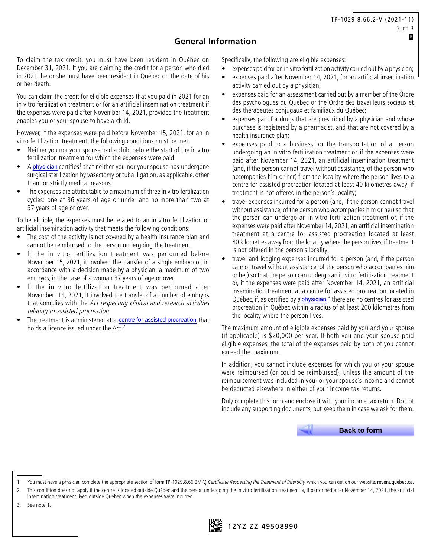# **General Information**

To claim the tax credit, you must have been resident in Québec on December 31, 2021. If you are claiming the credit for a person who died in 2021, he or she must have been resident in Québec on the date of his or her death.

You can claim the credit for eligible expenses that you paid in 2021 for an in vitro fertilization treatment or for an artificial insemination treatment if the expenses were paid after November 14, 2021, provided the treatment enables you or your spouse to have a child.

However, if the expenses were paid before November 15, 2021, for an in vitro fertilization treatment, the following conditions must be met:

- Neither you nor your spouse had a child before the start of the in vitro fertilization treatment for which the expenses were paid.
- A physician certifies<sup>1</sup> that neither you nor your spouse has undergone surgical sterilization by vasectomy or tubal ligation, as applicable, other than for strictly medical reasons.
- The expenses are attributable to a maximum of three in vitro fertilization cycles: one at 36 years of age or under and no more than two at 37 years of age or over.

To be eligible, the expenses must be related to an in vitro fertilization or artificial insemination activity that meets the following conditions:

- The cost of the activity is not covered by a health insurance plan and cannot be reimbursed to the person undergoing the treatment.
- If the in vitro fertilization treatment was performed before November 15, 2021, it involved the transfer of a single embryo or, in accordance with a decision made by a physician, a maximum of two embryos, in the case of a woman 37 years of age or over.
- If the in vitro fertilization treatment was performed after November 14, 2021, it involved the transfer of a number of embryos that complies with the Act respecting clinical and research activities relating to assisted procreation.
- The treatment is administered at a centre for assisted procreation that holds a licence issued under the Act.<sup>2</sup>

Specifically, the following are eligible expenses:

- expenses paid for an in vitro fertilization activity carried out by a physician;
- expenses paid after November 14, 2021, for an artificial insemination activity carried out by a physician;
- expenses paid for an assessment carried out by a member of the Ordre des psychologues du Québec or the Ordre des travailleurs sociaux et des thérapeutes conjugaux et familiaux du Québec;
- expenses paid for drugs that are prescribed by a physician and whose purchase is registered by a pharmacist, and that are not covered by a health insurance plan;
- expenses paid to a business for the transportation of a person undergoing an in vitro fertilization treatment or, if the expenses were paid after November 14, 2021, an artificial insemination treatment (and, if the person cannot travel without assistance, of the person who accompanies him or her) from the locality where the person lives to a centre for assisted procreation located at least 40 kilometres away, if treatment is not offered in the person's locality;
- travel expenses incurred for a person (and, if the person cannot travel without assistance, of the person who accompanies him or her) so that the person can undergo an in vitro fertilization treatment or, if the expenses were paid after November 14, 2021, an artificial insemination treatment at a centre for assisted procreation located at least 80 kilometres away from the locality where the person lives, if treatment is not offered in the person's locality;
- travel and lodging expenses incurred for a person (and, if the person cannot travel without assistance, of the person who accompanies him or her) so that the person can undergo an in vitro fertilization treatment or, if the expenses were paid after November 14, 2021, an artificial insemination treatment at a centre for assisted procreation located in Québec, if, as certified by a *physician*,<sup>3</sup> there are no centres for assisted procreation in Québec within a radius of at least 200 kilometres from the locality where the person lives. **Example 18 (Control in the second state with the second state of the second state of the second properties of the second state of the second properties of the second properties of the second properties of the second proc**

The maximum amount of eligible expenses paid by you and your spouse (if applicable) is \$20,000 per year. If both you and your spouse paid eligible expenses, the total of the expenses paid by both of you cannot exceed the maximum.

In addition, you cannot include expenses for which you or your spouse were reimbursed (or could be reimbursed), unless the amount of the reimbursement was included in your or your spouse's income and cannot be deducted elsewhere in either of your income tax returns.

Duly complete this form and enclose it with your income tax return. Do not include any supporting documents, but keep them in case we ask for them.

3. See note 1.



<sup>1.</sup> You must have a physician complete the appropriate section of form TP-1029.8.66.2M-V, Certificate Respecting the Treatment of Infertility, which you can get on our website, revenuquebec.ca.

This condition does not apply if the centre is located outside Québec and the person undergoing the in vitro fertilization treatment or, if performed after November 14, 2021, the artificial insemination treatment lived outside Québec when the expenses were incurred.